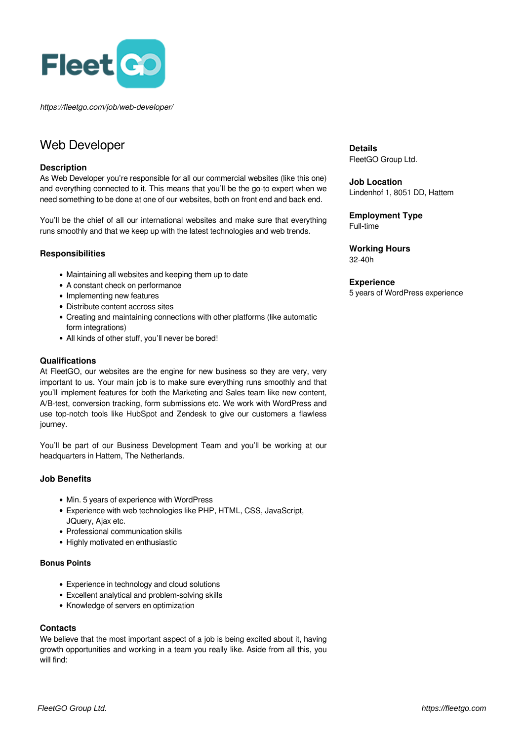

*https://fleetgo.com/job/web-developer/*

# Web Developer

### **Description**

As Web Developer you're responsible for all our commercial websites (like this one) and everything connected to it. This means that you'll be the go-to expert when we need something to be done at one of our websites, both on front end and back end.

You'll be the chief of all our international websites and make sure that everything runs smoothly and that we keep up with the latest technologies and web trends.

## **Responsibilities**

- Maintaining all websites and keeping them up to date
- A constant check on performance
- Implementing new features
- Distribute content accross sites
- Creating and maintaining connections with other platforms (like automatic form integrations)
- All kinds of other stuff, you'll never be bored!

#### **Qualifications**

At FleetGO, our websites are the engine for new business so they are very, very important to us. Your main job is to make sure everything runs smoothly and that you'll implement features for both the Marketing and Sales team like new content, A/B-test, conversion tracking, form submissions etc. We work with WordPress and use top-notch tools like HubSpot and Zendesk to give our customers a flawless journey.

You'll be part of our Business Development Team and you'll be working at our headquarters in Hattem, The Netherlands.

## **Job Benefits**

- Min. 5 years of experience with WordPress
- Experience with web technologies like PHP, HTML, CSS, JavaScript, JQuery, Ajax etc.
- Professional communication skills
- Highly motivated en enthusiastic

#### **Bonus Points**

- Experience in technology and cloud solutions
- Excellent analytical and problem-solving skills
- Knowledge of servers en optimization

#### **Contacts**

We believe that the most important aspect of a job is being excited about it, having growth opportunities and working in a team you really like. Aside from all this, you will find:

**Details** FleetGO Group Ltd.

**Job Location** Lindenhof 1, 8051 DD, Hattem

**Employment Type** Full-time

**Working Hours** 32-40h

## **Experience**

5 years of WordPress experience